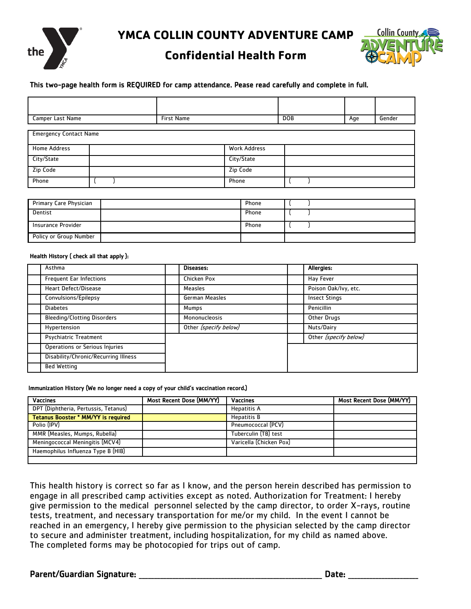

**YMCA COLLIN COUNTY ADVENTURE CAMP**

### **Confidential Health Form**



### This two-page health form is REQUIRED for camp attendance. Pease read carefully and complete in full.

| Camper Last Name              | <b>First Name</b> |                     | <b>DOB</b> | Age | Gender |
|-------------------------------|-------------------|---------------------|------------|-----|--------|
| <b>Emergency Contact Name</b> |                   |                     |            |     |        |
| <b>Home Address</b>           |                   | <b>Work Address</b> |            |     |        |
| City/State                    |                   | City/State          |            |     |        |
| Zip Code                      |                   | Zip Code            |            |     |        |
| Phone                         |                   | Phone               |            |     |        |

| Primary Care Physician | Phone |  |
|------------------------|-------|--|
| Dentist                | Phone |  |
| Insurance Provider     | Phone |  |
| Policy or Group Number |       |  |

#### Health History ( check all that apply ):

| Asthma                               | Diseases:             | Allergies:            |
|--------------------------------------|-----------------------|-----------------------|
| <b>Frequent Ear Infections</b>       | Chicken Pox           | <b>Hay Fever</b>      |
| <b>Heart Defect/Disease</b>          | Measles               | Poison Oak/Ivy, etc.  |
| Convulsions/Epilepsy                 | German Measles        | <b>Insect Stings</b>  |
| <b>Diabetes</b>                      | Mumps                 | Penicillin            |
| <b>Bleeding/Clotting Disorders</b>   | Mononucleosis         | Other Drugs           |
| Hypertension                         | Other (specify below) | Nuts/Dairy            |
| Psychiatric Treatment                |                       | Other (specify below) |
| Operations or Serious Injuries       |                       |                       |
| Disability/Chronic/Recurring Illness |                       |                       |
| <b>Bed Wetting</b>                   |                       |                       |

#### Immunization History (We no longer need a copy of your child's vaccination record.)

| <b>Vaccines</b>                      | Most Recent Dose (MM/YY) | <b>Vaccines</b>         | Most Recent Dose (MM/YY) |
|--------------------------------------|--------------------------|-------------------------|--------------------------|
| DPT (Diphtheria, Pertussis, Tetanus) |                          | <b>Hepatitis A</b>      |                          |
| Tetanus Booster * MM/YY is required  |                          | <b>Hepatitis B</b>      |                          |
| Polio (IPV)                          |                          | Pneumococcal (PCV)      |                          |
| MMR (Measles, Mumps, Rubella)        |                          | Tuberculin (TB) test    |                          |
| Meningococcal Meningitis (MCV4)      |                          | Varicella (Chicken Pox) |                          |
| Haemophilus Influenza Type B (HIB)   |                          |                         |                          |
|                                      |                          |                         |                          |

This health history is correct so far as I know, and the person herein described has permission to engage in all prescribed camp activities except as noted. Authorization for Treatment: I hereby give permission to the medical personnel selected by the camp director, to order X-rays, routine tests, treatment, and necessary transportation for me/or my child. In the event I cannot be reached in an emergency, I hereby give permission to the physician selected by the camp director to secure and administer treatment, including hospitalization, for my child as named above. The completed forms may be photocopied for trips out of camp.

### Parent/Guardian Signature: \_\_\_\_\_\_\_\_\_\_\_\_\_\_\_\_\_\_\_\_\_\_\_\_\_\_\_\_\_\_\_\_\_\_\_\_\_\_\_\_\_\_\_\_\_\_\_\_\_\_\_\_\_\_\_\_\_\_\_\_ Date: \_\_\_\_\_\_\_\_\_\_\_\_\_\_\_\_\_\_\_\_\_\_\_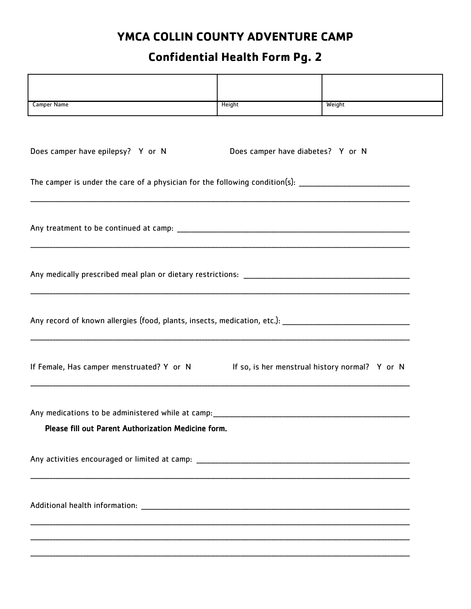## YMCA COLLIN COUNTY ADVENTURE CAMP

# **Confidential Health Form Pg. 2**

| <b>Camper Name</b>                                                                                             | Height                            | Weight |
|----------------------------------------------------------------------------------------------------------------|-----------------------------------|--------|
|                                                                                                                |                                   |        |
| Does camper have epilepsy? Y or N                                                                              | Does camper have diabetes? Y or N |        |
|                                                                                                                |                                   |        |
| The camper is under the care of a physician for the following condition(s): __________________________________ |                                   |        |
|                                                                                                                |                                   |        |
|                                                                                                                |                                   |        |
|                                                                                                                |                                   |        |
|                                                                                                                |                                   |        |
|                                                                                                                |                                   |        |
|                                                                                                                |                                   |        |
|                                                                                                                |                                   |        |
|                                                                                                                |                                   |        |
| If Female, Has camper menstruated? Y or N If so, is her menstrual history normal? Y or N                       |                                   |        |
|                                                                                                                |                                   |        |
|                                                                                                                |                                   |        |
| Any medications to be administered while at camp:                                                              |                                   |        |
| Please fill out Parent Authorization Medicine form.                                                            |                                   |        |
|                                                                                                                |                                   |        |
|                                                                                                                |                                   |        |
|                                                                                                                |                                   |        |
|                                                                                                                |                                   |        |
|                                                                                                                |                                   |        |
|                                                                                                                |                                   |        |
|                                                                                                                |                                   |        |